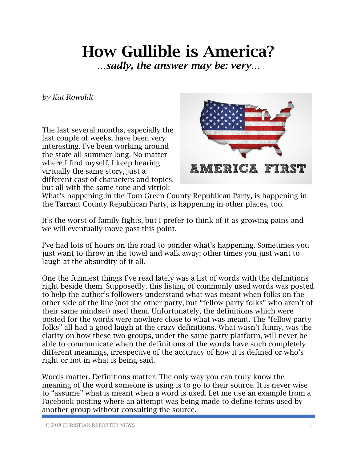## How Gullible is America?

*…sadly, the answer may be: very…*

*by Kat Rowoldt*

The last several months, especially the last couple of weeks, have been very interesting. I've been working around the state all summer long. No matter where I find myself, I keep hearing virtually the same story, just a different cast of characters and topics, but all with the same tone and vitriol:



What's happening in the Tom Green County Republican Party, is happening in the Tarrant County Republican Party, is happening in other places, too.

It's the worst of family fights, but I prefer to think of it as growing pains and we will eventually move past this point.

I've had lots of hours on the road to ponder what's happening. Sometimes you just want to throw in the towel and walk away; other times you just want to laugh at the absurdity of it all.

One the funniest things I've read lately was a list of words with the definitions right beside them. Supposedly, this listing of commonly used words was posted to help the author's followers understand what was meant when folks on the other side of the line (not the other party, but "fellow party folks" who aren't of their same mindset) used them. Unfortunately, the definitions which were posted for the words were nowhere close to what was meant. The "fellow party folks" all had a good laugh at the crazy definitions. What wasn't funny, was the clarity on how these two groups, under the same party platform, will never be able to communicate when the definitions of the words have such completely different meanings, irrespective of the accuracy of how it is defined or who's right or not in what is being said.

Words matter. Definitions matter. The only way you can truly know the meaning of the word someone is using is to go to their source. It is never wise to "assume" what is meant when a word is used. Let me use an example from a Facebook posting where an attempt was being made to define terms used by another group without consulting the source.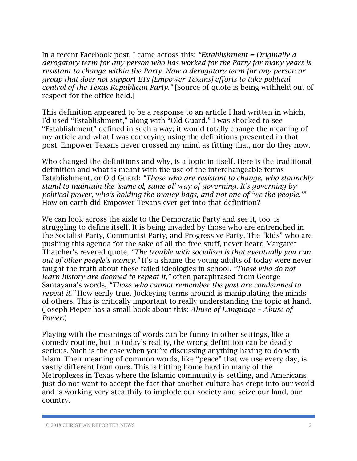In a recent Facebook post, I came across this: *"Establishment = Originally a derogatory term for any person who has worked for the Party for many years is resistant to change within the Party. Now a derogatory term for any person or group that does not support ETs [Empower Texans] efforts to take political control of the Texas Republican Party."* [Source of quote is being withheld out of respect for the office held.]

This definition appeared to be a response to an article I had written in which, I'd used "Establishment," along with "Old Guard." I was shocked to see "Establishment" defined in such a way; it would totally change the meaning of my article and what I was conveying using the definitions presented in that post. Empower Texans never crossed my mind as fitting that, nor do they now.

Who changed the definitions and why, is a topic in itself. Here is the traditional definition and what is meant with the use of the interchangeable terms Establishment, or Old Guard: *"Those who are resistant to change, who staunchly stand to maintain the 'same ol, same ol' way of governing. It's governing by political power, who's holding the money bags, and not one of 'we the people.'"* How on earth did Empower Texans ever get into that definition?

We can look across the aisle to the Democratic Party and see it, too, is struggling to define itself. It is being invaded by those who are entrenched in the Socialist Party, Communist Party, and Progressive Party. The "kids" who are pushing this agenda for the sake of all the free stuff, never heard Margaret Thatcher's revered quote, *"The trouble with socialism is that eventually you run out of other people's money."* It's a shame the young adults of today were never taught the truth about these failed ideologies in school. *"Those who do not learn history are doomed to repeat it,"* often paraphrased from George Santayana's words, *"Those who cannot remember the past are condemned to repeat it.*" How eerily true. Jockeying terms around is manipulating the minds of others. This is critically important to really understanding the topic at hand. (Joseph Pieper has a small book about this: *Abuse of Language – Abuse of Power*.)

Playing with the meanings of words can be funny in other settings, like a comedy routine, but in today's reality, the wrong definition can be deadly serious. Such is the case when you're discussing anything having to do with Islam. Their meaning of common words, like "peace" that we use every day, is vastly different from ours. This is hitting home hard in many of the Metroplexes in Texas where the Islamic community is settling, and Americans just do not want to accept the fact that another culture has crept into our world and is working very stealthily to implode our society and seize our land, our country.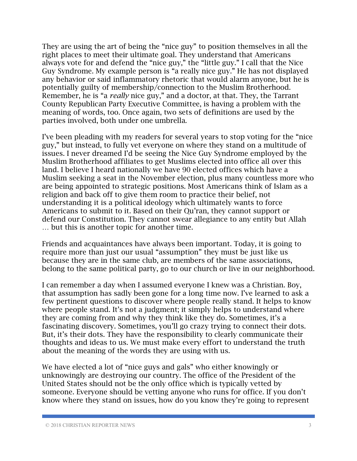They are using the art of being the "nice guy" to position themselves in all the right places to meet their ultimate goal. They understand that Americans always vote for and defend the "nice guy," the "little guy." I call that the Nice Guy Syndrome. My example person is "a really nice guy." He has not displayed any behavior or said inflammatory rhetoric that would alarm anyone, but he is potentially guilty of membership/connection to the Muslim Brotherhood. Remember, he is "a *really* nice guy," and a doctor, at that. They, the Tarrant County Republican Party Executive Committee, is having a problem with the meaning of words, too. Once again, two sets of definitions are used by the parties involved, both under one umbrella.

I've been pleading with my readers for several years to stop voting for the "nice guy," but instead, to fully vet everyone on where they stand on a multitude of issues. I never dreamed I'd be seeing the Nice Guy Syndrome employed by the Muslim Brotherhood affiliates to get Muslims elected into office all over this land. I believe I heard nationally we have 90 elected offices which have a Muslim seeking a seat in the November election, plus many countless more who are being appointed to strategic positions. Most Americans think of Islam as a religion and back off to give them room to practice their belief, not understanding it is a political ideology which ultimately wants to force Americans to submit to it. Based on their Qu'ran, they cannot support or defend our Constitution. They cannot swear allegiance to any entity but Allah … but this is another topic for another time.

Friends and acquaintances have always been important. Today, it is going to require more than just our usual "assumption" they must be just like us because they are in the same club, are members of the same associations, belong to the same political party, go to our church or live in our neighborhood.

I can remember a day when I assumed everyone I knew was a Christian. Boy, that assumption has sadly been gone for a long time now. I've learned to ask a few pertinent questions to discover where people really stand. It helps to know where people stand. It's not a judgment; it simply helps to understand where they are coming from and why they think like they do. Sometimes, it's a fascinating discovery. Sometimes, you'll go crazy trying to connect their dots. But, it's their dots. They have the responsibility to clearly communicate their thoughts and ideas to us. We must make every effort to understand the truth about the meaning of the words they are using with us.

We have elected a lot of "nice guys and gals" who either knowingly or unknowingly are destroying our country. The office of the President of the United States should not be the only office which is typically vetted by someone. Everyone should be vetting anyone who runs for office. If you don't know where they stand on issues, how do you know they're going to represent